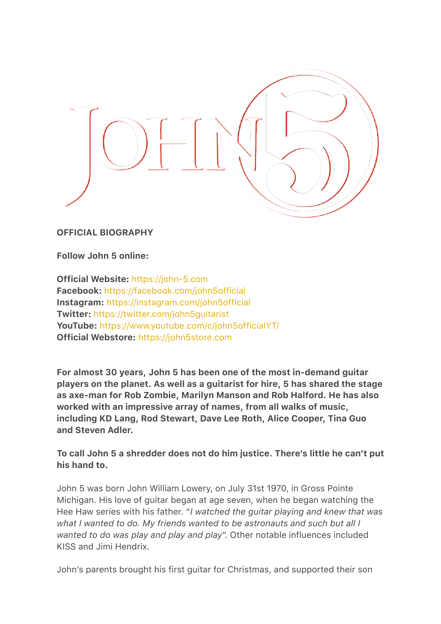

OFFICIAL BIOGRAPHY

Follow John 5 online:

Official Website: <https://john-5.com> Facebook: <https://facebook.com/john5official> Instagram: <https://instagram.com/john5official> Twitter: <https://twitter.com/john5guitarist> YouTube: <https://www.youtube.com/c/john5officialYT/> Official Webstore: <https://john5store.com>

For almost 30 years, John 5 has been one of the most in-demand guitar players on the planet. As well as a guitarist for hire, 5 has shared the stage as axe-man for Rob Zombie, Marilyn Manson and Rob Halford. He has also worked with an impressive array of names, from all walks of music, including KD Lang, Rod Stewart, Dave Lee Roth, Alice Cooper, Tina Guo and Steven Adler.

To call John 5 a shredder does not do him justice. There's little he can't put his hand to.

John 5 was born John William Lowery, on July 31st 1970, in Gross Pointe Michigan. His love of guitar began at age seven, when he began watching the Hee Haw series with his father. "*I watched the guitar playing and knew that was what I wanted to do. My friends wanted to be astronauts and such but all I wanted to do was play and play and play*". Other notable influences included KISS and Jimi Hendrix.

John's parents brought his first guitar for Christmas, and supported their son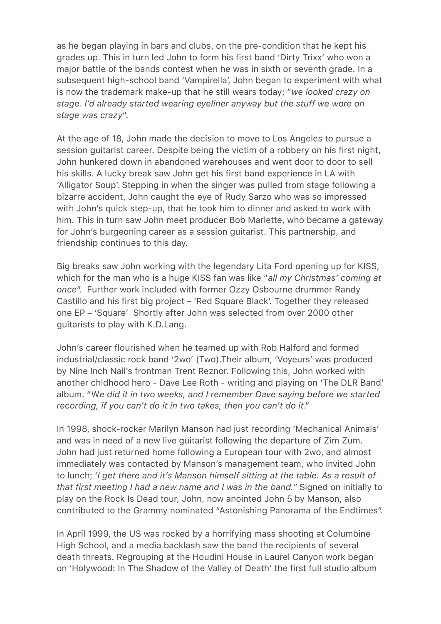as he began playing in bars and clubs, on the pre-condition that he kept his grades up. This in turn led John to form his first band 'Dirty Trixx' who won a major battle of the bands contest when he was in sixth or seventh grade. In a subsequent high-school band 'Vampirella', John began to experiment with what is now the trademark make-up that he still wears today; "*we looked crazy on stage. I'd already started wearing eyeliner anyway but the stuff we wore on stage was crazy*".

At the age of 18, John made the decision to move to Los Angeles to pursue a session guitarist career. Despite being the victim of a robbery on his first night, John hunkered down in abandoned warehouses and went door to door to sell his skills. A lucky break saw John get his first band experience in LA with 'Alligator Soup'. Stepping in when the singer was pulled from stage following a bizarre accident, John caught the eye of Rudy Sarzo who was so impressed with John's quick step-up, that he took him to dinner and asked to work with him. This in turn saw John meet producer Bob Marlette, who became a gateway for John's burgeoning career as a session guitarist. This partnership, and friendship continues to this day.

Big breaks saw John working with the legendary Lita Ford opening up for KISS, which for the man who is a huge KISS fan was like "*all my Christmas' coming at once*". Further work included with former Ozzy Osbourne drummer Randy Castillo and his first big project – 'Red Square Black'. Together they released one EP – 'Square' Shortly after John was selected from over 2000 other guitarists to play with K.D.Lang.

John's career flourished when he teamed up with Rob Halford and formed industrial/classic rock band '2wo' (Two).Their album, 'Voyeurs' was produced by Nine Inch Nail's frontman Trent Reznor. Following this, John worked with another chldhood hero - Dave Lee Roth - writing and playing on 'The DLR Band' album. "W*e did it in two weeks, and I remember Dave saying before we started recording, if you can't do it in two takes, then you can't do it*."

In 1998, shock-rocker Marilyn Manson had just recording 'Mechanical Animals' and was in need of a new live guitarist following the departure of Zim Zum. John had just returned home following a European tour with 2wo, and almost immediately was contacted by Manson's management team, who invited John to lunch; '*I get there and it's Manson himself sitting at the table. As a result of that first meeting I had a new name and I was in the band."* Signed on initially to play on the Rock Is Dead tour, John, now anointed John 5 by Manson, also contributed to the Grammy nominated "Astonishing Panorama of the Endtimes".

In April 1999, the US was rocked by a horrifying mass shooting at Columbine High School, and a media backlash saw the band the recipients of several death threats. Regrouping at the Houdini House in Laurel Canyon work began on 'Holywood: In The Shadow of the Valley of Death' the first full studio album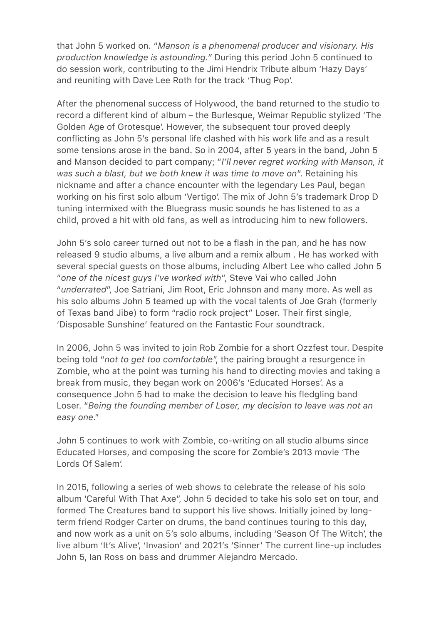that John 5 worked on. "*Manson is a phenomenal producer and visionary. His production knowledge is astounding."* During this period John 5 continued to do session work, contributing to the Jimi Hendrix Tribute album 'Hazy Days' and reuniting with Dave Lee Roth for the track 'Thug Pop'.

After the phenomenal success of Holywood, the band returned to the studio to record a different kind of album – the Burlesque, Weimar Republic stylized 'The Golden Age of Grotesque'. However, the subsequent tour proved deeply conflicting as John 5's personal life clashed with his work life and as a result some tensions arose in the band. So in 2004, after 5 years in the band, John 5 and Manson decided to part company; "*I'll never regret working with Manson, it was such a blast, but we both knew it was time to move on*". Retaining his nickname and after a chance encounter with the legendary Les Paul, began working on his first solo album 'Vertigo'. The mix of John 5's trademark Drop D tuning intermixed with the Bluegrass music sounds he has listened to as a child, proved a hit with old fans, as well as introducing him to new followers.

John 5's solo career turned out not to be a flash in the pan, and he has now released 9 studio albums, a live album and a remix album . He has worked with several special guests on those albums, including Albert Lee who called John 5 "*one of the nicest guys I've worked with*", Steve Vai who called John "*underrated*", Joe Satriani, Jim Root, Eric Johnson and many more. As well as his solo albums John 5 teamed up with the vocal talents of Joe Grah (formerly of Texas band Jibe) to form "radio rock project" Loser. Their first single, 'Disposable Sunshine' featured on the Fantastic Four soundtrack.

In 2006, John 5 was invited to join Rob Zombie for a short Ozzfest tour. Despite being told "*not to get too comfortable*", the pairing brought a resurgence in Zombie, who at the point was turning his hand to directing movies and taking a break from music, they began work on 2006's 'Educated Horses'. As a consequence John 5 had to make the decision to leave his fledgling band Loser. "*Being the founding member of Loser, my decision to leave was not an easy one*."

John 5 continues to work with Zombie, co-writing on all studio albums since Educated Horses, and composing the score for Zombie's 2013 movie 'The Lords Of Salem'.

In 2015, following a series of web shows to celebrate the release of his solo album 'Careful With That Axe", John 5 decided to take his solo set on tour, and formed The Creatures band to support his live shows. Initially joined by longterm friend Rodger Carter on drums, the band continues touring to this day, and now work as a unit on 5's solo albums, including 'Season Of The Witch', the live album 'It's Alive', 'Invasion' and 2021's 'Sinner' The current line-up includes John 5, Ian Ross on bass and drummer Alejandro Mercado.